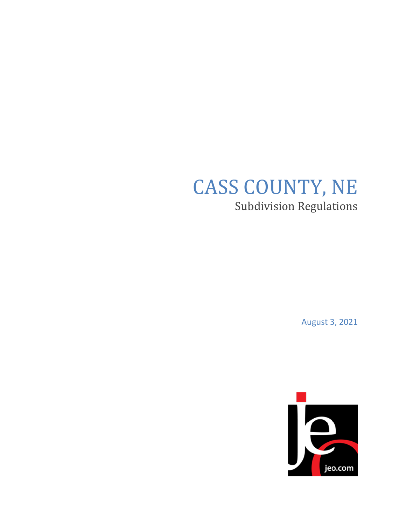# CASS COUNTY, NE Subdivision Regulations

August 3, 2021

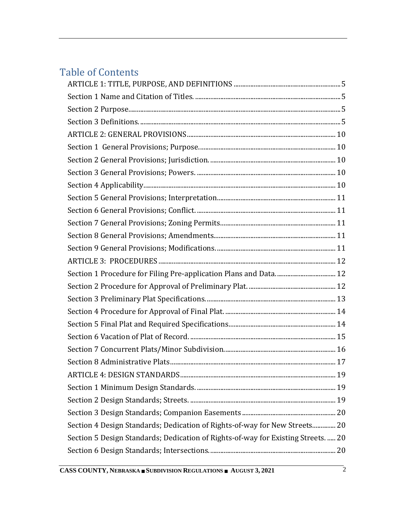# Table of Contents

| Section 4 Design Standards; Dedication of Rights-of-way for New Streets 20        |
|-----------------------------------------------------------------------------------|
| Section 5 Design Standards; Dedication of Rights-of-way for Existing Streets.  20 |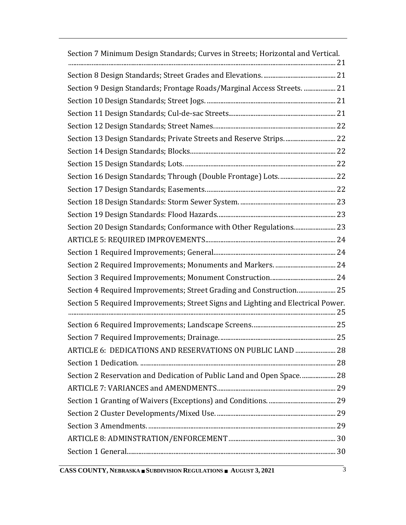| Section 7 Minimum Design Standards; Curves in Streets; Horizontal and Vertical.  |  |
|----------------------------------------------------------------------------------|--|
|                                                                                  |  |
| Section 9 Design Standards; Frontage Roads/Marginal Access Streets.  21          |  |
|                                                                                  |  |
|                                                                                  |  |
|                                                                                  |  |
| Section 13 Design Standards; Private Streets and Reserve Strips 22               |  |
|                                                                                  |  |
|                                                                                  |  |
|                                                                                  |  |
|                                                                                  |  |
|                                                                                  |  |
|                                                                                  |  |
| Section 20 Design Standards; Conformance with Other Regulations 23               |  |
|                                                                                  |  |
|                                                                                  |  |
|                                                                                  |  |
|                                                                                  |  |
| Section 4 Required Improvements; Street Grading and Construction 25              |  |
| Section 5 Required Improvements; Street Signs and Lighting and Electrical Power. |  |
|                                                                                  |  |
|                                                                                  |  |
| ARTICLE 6: DEDICATIONS AND RESERVATIONS ON PUBLIC LAND  28                       |  |
|                                                                                  |  |
| Section 2 Reservation and Dedication of Public Land and Open Space 28            |  |
|                                                                                  |  |
|                                                                                  |  |
|                                                                                  |  |
|                                                                                  |  |
|                                                                                  |  |
|                                                                                  |  |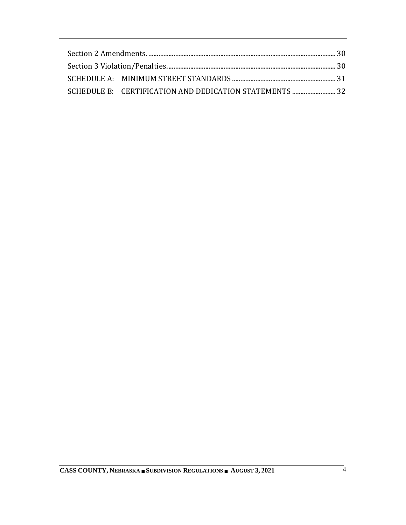| SCHEDULE B: CERTIFICATION AND DEDICATION STATEMENTS  32 |  |
|---------------------------------------------------------|--|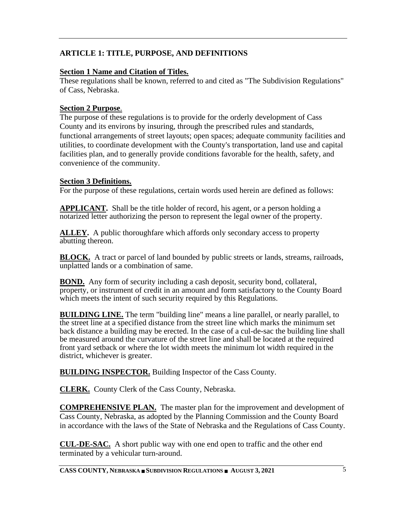## <span id="page-5-0"></span>**ARTICLE 1: TITLE, PURPOSE, AND DEFINITIONS**

#### <span id="page-5-1"></span>**Section 1 Name and Citation of Titles.**

These regulations shall be known, referred to and cited as "The Subdivision Regulations" of Cass, Nebraska.

#### <span id="page-5-2"></span>**Section 2 Purpose**.

The purpose of these regulations is to provide for the orderly development of Cass County and its environs by insuring, through the prescribed rules and standards, functional arrangements of street layouts; open spaces; adequate community facilities and utilities, to coordinate development with the County's transportation, land use and capital facilities plan, and to generally provide conditions favorable for the health, safety, and convenience of the community.

#### <span id="page-5-3"></span>**Section 3 Definitions.**

For the purpose of these regulations, certain words used herein are defined as follows:

**APPLICANT.** Shall be the title holder of record, his agent, or a person holding a notarized letter authorizing the person to represent the legal owner of the property.

**ALLEY.** A public thoroughfare which affords only secondary access to property abutting thereon.

**BLOCK.** A tract or parcel of land bounded by public streets or lands, streams, railroads, unplatted lands or a combination of same.

**BOND.** Any form of security including a cash deposit, security bond, collateral, property, or instrument of credit in an amount and form satisfactory to the County Board which meets the intent of such security required by this Regulations.

**BUILDING LINE.** The term "building line" means a line parallel, or nearly parallel, to the street line at a specified distance from the street line which marks the minimum set back distance a building may be erected. In the case of a cul-de-sac the building line shall be measured around the curvature of the street line and shall be located at the required front yard setback or where the lot width meets the minimum lot width required in the district, whichever is greater.

**BUILDING INSPECTOR.** Building Inspector of the Cass County.

**CLERK.** County Clerk of the Cass County, Nebraska.

**COMPREHENSIVE PLAN.** The master plan for the improvement and development of Cass County, Nebraska, as adopted by the Planning Commission and the County Board in accordance with the laws of the State of Nebraska and the Regulations of Cass County.

**CUL-DE-SAC.** A short public way with one end open to traffic and the other end terminated by a vehicular turn-around.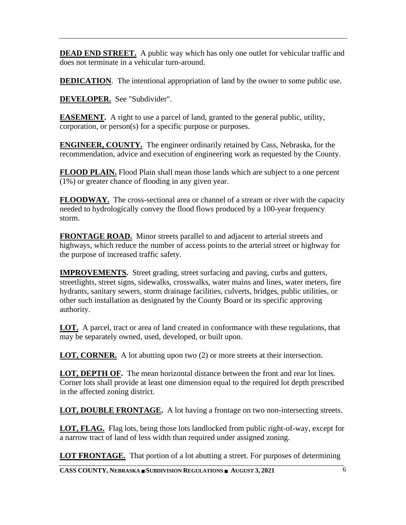**DEAD END STREET.** A public way which has only one outlet for vehicular traffic and does not terminate in a vehicular turn-around.

**DEDICATION.** The intentional appropriation of land by the owner to some public use.

**DEVELOPER.** See "Subdivider".

**EASEMENT.** A right to use a parcel of land, granted to the general public, utility, corporation, or person(s) for a specific purpose or purposes.

**ENGINEER, COUNTY.** The engineer ordinarily retained by Cass, Nebraska, for the recommendation, advice and execution of engineering work as requested by the County.

**FLOOD PLAIN.** Flood Plain shall mean those lands which are subject to a one percent (1%) or greater chance of flooding in any given year.

**FLOODWAY.** The cross-sectional area or channel of a stream or river with the capacity needed to hydrologically convey the flood flows produced by a 100-year frequency storm.

**FRONTAGE ROAD.** Minor streets parallel to and adjacent to arterial streets and highways, which reduce the number of access points to the arterial street or highway for the purpose of increased traffic safety.

**IMPROVEMENTS.** Street grading, street surfacing and paving, curbs and gutters, streetlights, street signs, sidewalks, crosswalks, water mains and lines, water meters, fire hydrants, sanitary sewers, storm drainage facilities, culverts, bridges, public utilities, or other such installation as designated by the County Board or its specific approving authority.

**LOT.** A parcel, tract or area of land created in conformance with these regulations, that may be separately owned, used, developed, or built upon.

**LOT, CORNER.** A lot abutting upon two (2) or more streets at their intersection.

**LOT, DEPTH OF.** The mean horizontal distance between the front and rear lot lines. Corner lots shall provide at least one dimension equal to the required lot depth prescribed in the affected zoning district.

**LOT, DOUBLE FRONTAGE.** A lot having a frontage on two non-intersecting streets.

**LOT, FLAG.** Flag lots, being those lots landlocked from public right-of-way, except for a narrow tract of land of less width than required under assigned zoning.

**LOT FRONTAGE.** That portion of a lot abutting a street. For purposes of determining

**CASS COUNTY, NEBRASKA SUBDIVISION REGULATIONS AUGUST 3, 2021** 6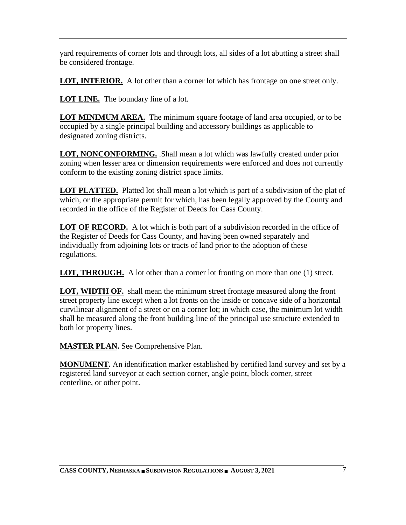yard requirements of corner lots and through lots, all sides of a lot abutting a street shall be considered frontage.

**LOT, INTERIOR.** A lot other than a corner lot which has frontage on one street only.

**LOT LINE.** The boundary line of a lot.

**LOT MINIMUM AREA.** The minimum square footage of land area occupied, or to be occupied by a single principal building and accessory buildings as applicable to designated zoning districts.

**LOT, NONCONFORMING.** .Shall mean a lot which was lawfully created under prior zoning when lesser area or dimension requirements were enforced and does not currently conform to the existing zoning district space limits.

**LOT PLATTED.** Platted lot shall mean a lot which is part of a subdivision of the plat of which, or the appropriate permit for which, has been legally approved by the County and recorded in the office of the Register of Deeds for Cass County.

**LOT OF RECORD.** A lot which is both part of a subdivision recorded in the office of the Register of Deeds for Cass County, and having been owned separately and individually from adjoining lots or tracts of land prior to the adoption of these regulations.

**LOT, THROUGH.** A lot other than a corner lot fronting on more than one (1) street.

**LOT, WIDTH OF.** shall mean the minimum street frontage measured along the front street property line except when a lot fronts on the inside or concave side of a horizontal curvilinear alignment of a street or on a corner lot; in which case, the minimum lot width shall be measured along the front building line of the principal use structure extended to both lot property lines.

**MASTER PLAN.** See Comprehensive Plan.

**MONUMENT.** An identification marker established by certified land survey and set by a registered land surveyor at each section corner, angle point, block corner, street centerline, or other point.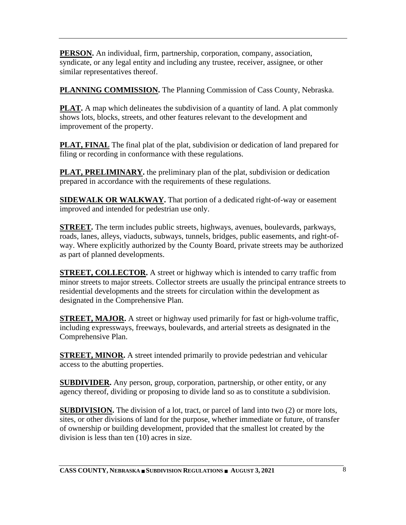**PERSON.** An individual, firm, partnership, corporation, company, association, syndicate, or any legal entity and including any trustee, receiver, assignee, or other similar representatives thereof.

**PLANNING COMMISSION.** The Planning Commission of Cass County, Nebraska.

**PLAT.** A map which delineates the subdivision of a quantity of land. A plat commonly shows lots, blocks, streets, and other features relevant to the development and improvement of the property.

**PLAT, FINAL** The final plat of the plat, subdivision or dedication of land prepared for filing or recording in conformance with these regulations.

**PLAT, PRELIMINARY.** the preliminary plan of the plat, subdivision or dedication prepared in accordance with the requirements of these regulations.

**SIDEWALK OR WALKWAY.** That portion of a dedicated right-of-way or easement improved and intended for pedestrian use only.

**STREET.** The term includes public streets, highways, avenues, boulevards, parkways, roads, lanes, alleys, viaducts, subways, tunnels, bridges, public easements, and right-ofway. Where explicitly authorized by the County Board, private streets may be authorized as part of planned developments.

**STREET, COLLECTOR.** A street or highway which is intended to carry traffic from minor streets to major streets. Collector streets are usually the principal entrance streets to residential developments and the streets for circulation within the development as designated in the Comprehensive Plan.

**STREET, MAJOR.** A street or highway used primarily for fast or high-volume traffic, including expressways, freeways, boulevards, and arterial streets as designated in the Comprehensive Plan.

**STREET, MINOR.** A street intended primarily to provide pedestrian and vehicular access to the abutting properties.

**SUBDIVIDER.** Any person, group, corporation, partnership, or other entity, or any agency thereof, dividing or proposing to divide land so as to constitute a subdivision.

**SUBDIVISION.** The division of a lot, tract, or parcel of land into two (2) or more lots, sites, or other divisions of land for the purpose, whether immediate or future, of transfer of ownership or building development, provided that the smallest lot created by the division is less than ten (10) acres in size.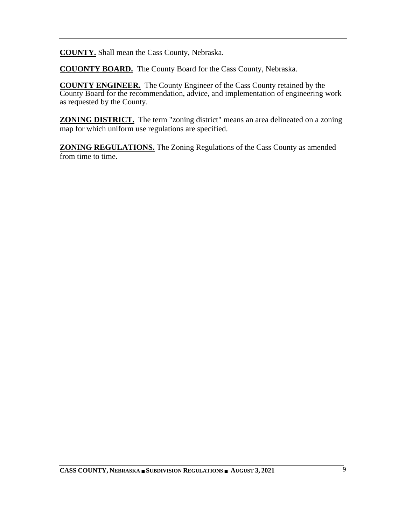**COUNTY.** Shall mean the Cass County, Nebraska.

**COUONTY BOARD.** The County Board for the Cass County, Nebraska.

**COUNTY ENGINEER.** The County Engineer of the Cass County retained by the County Board for the recommendation, advice, and implementation of engineering work as requested by the County.

**ZONING DISTRICT.** The term "zoning district" means an area delineated on a zoning map for which uniform use regulations are specified.

**ZONING REGULATIONS.** The Zoning Regulations of the Cass County as amended from time to time.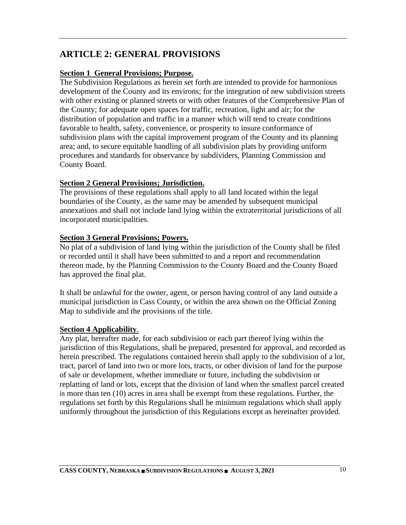# <span id="page-10-0"></span>**ARTICLE 2: GENERAL PROVISIONS**

#### <span id="page-10-1"></span>**Section 1 General Provisions; Purpose.**

The Subdivision Regulations as herein set forth are intended to provide for harmonious development of the County and its environs; for the integration of new subdivision streets with other existing or planned streets or with other features of the Comprehensive Plan of the County; for adequate open spaces for traffic, recreation, light and air; for the distribution of population and traffic in a manner which will tend to create conditions favorable to health, safety, convenience, or prosperity to insure conformance of subdivision plans with the capital improvement program of the County and its planning area; and, to secure equitable handling of all subdivision plats by providing uniform procedures and standards for observance by subdividers, Planning Commission and County Board.

#### <span id="page-10-2"></span>**Section 2 General Provisions; Jurisdiction.**

The provisions of these regulations shall apply to all land located within the legal boundaries of the County, as the same may be amended by subsequent municipal annexations and shall not include land lying within the extraterritorial jurisdictions of all incorporated municipalities.

#### <span id="page-10-3"></span>**Section 3 General Provisions; Powers.**

No plat of a subdivision of land lying within the jurisdiction of the County shall be filed or recorded until it shall have been submitted to and a report and recommendation thereon made, by the Planning Commission to the County Board and the County Board has approved the final plat.

It shall be unlawful for the owner, agent, or person having control of any land outside a municipal jurisdiction in Cass County, or within the area shown on the Official Zoning Map to subdivide and the provisions of the title.

#### <span id="page-10-4"></span>**Section 4 Applicability**.

Any plat, hereafter made, for each subdivision or each part thereof lying within the jurisdiction of this Regulations, shall be prepared, presented for approval, and recorded as herein prescribed. The regulations contained herein shall apply to the subdivision of a lot, tract, parcel of land into two or more lots, tracts, or other division of land for the purpose of sale or development, whether immediate or future, including the subdivision or replatting of land or lots, except that the division of land when the smallest parcel created is more than ten (10) acres in area shall be exempt from these regulations. Further, the regulations set forth by this Regulations shall be minimum regulations which shall apply uniformly throughout the jurisdiction of this Regulations except as hereinafter provided.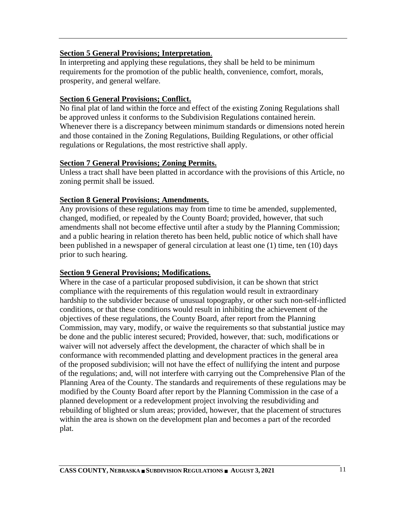#### <span id="page-11-0"></span>**Section 5 General Provisions; Interpretation**.

In interpreting and applying these regulations, they shall be held to be minimum requirements for the promotion of the public health, convenience, comfort, morals, prosperity, and general welfare.

#### <span id="page-11-1"></span>**Section 6 General Provisions; Conflict.**

No final plat of land within the force and effect of the existing Zoning Regulations shall be approved unless it conforms to the Subdivision Regulations contained herein. Whenever there is a discrepancy between minimum standards or dimensions noted herein and those contained in the Zoning Regulations, Building Regulations, or other official regulations or Regulations, the most restrictive shall apply.

#### <span id="page-11-2"></span>**Section 7 General Provisions; Zoning Permits.**

Unless a tract shall have been platted in accordance with the provisions of this Article, no zoning permit shall be issued.

#### <span id="page-11-3"></span>**Section 8 General Provisions; Amendments.**

Any provisions of these regulations may from time to time be amended, supplemented, changed, modified, or repealed by the County Board; provided, however, that such amendments shall not become effective until after a study by the Planning Commission; and a public hearing in relation thereto has been held, public notice of which shall have been published in a newspaper of general circulation at least one (1) time, ten (10) days prior to such hearing.

#### <span id="page-11-4"></span>**Section 9 General Provisions; Modifications.**

Where in the case of a particular proposed subdivision, it can be shown that strict compliance with the requirements of this regulation would result in extraordinary hardship to the subdivider because of unusual topography, or other such non-self-inflicted conditions, or that these conditions would result in inhibiting the achievement of the objectives of these regulations, the County Board, after report from the Planning Commission, may vary, modify, or waive the requirements so that substantial justice may be done and the public interest secured; Provided, however, that: such, modifications or waiver will not adversely affect the development, the character of which shall be in conformance with recommended platting and development practices in the general area of the proposed subdivision; will not have the effect of nullifying the intent and purpose of the regulations; and, will not interfere with carrying out the Comprehensive Plan of the Planning Area of the County. The standards and requirements of these regulations may be modified by the County Board after report by the Planning Commission in the case of a planned development or a redevelopment project involving the resubdividing and rebuilding of blighted or slum areas; provided, however, that the placement of structures within the area is shown on the development plan and becomes a part of the recorded plat.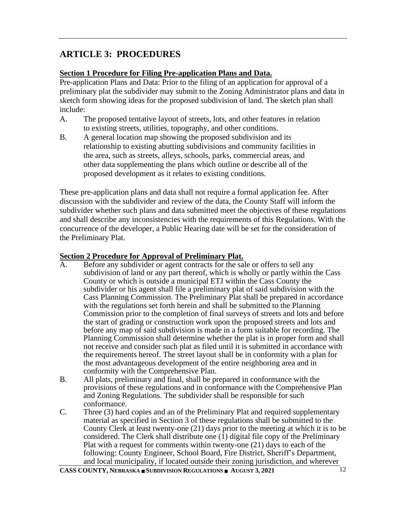# <span id="page-12-0"></span>**ARTICLE 3: PROCEDURES**

## <span id="page-12-1"></span>**Section 1 Procedure for Filing Pre-application Plans and Data.**

Pre-application Plans and Data: Prior to the filing of an application for approval of a preliminary plat the subdivider may submit to the Zoning Administrator plans and data in sketch form showing ideas for the proposed subdivision of land. The sketch plan shall include:

- A. The proposed tentative layout of streets, lots, and other features in relation to existing streets, utilities, topography, and other conditions.
- B. A general location map showing the proposed subdivision and its relationship to existing abutting subdivisions and community facilities in the area, such as streets, alleys, schools, parks, commercial areas, and other data supplementing the plans which outline or describe all of the proposed development as it relates to existing conditions.

These pre-application plans and data shall not require a formal application fee. After discussion with the subdivider and review of the data, the County Staff will inform the subdivider whether such plans and data submitted meet the objectives of these regulations and shall describe any inconsistencies with the requirements of this Regulations. With the concurrence of the developer, a Public Hearing date will be set for the consideration of the Preliminary Plat.

#### <span id="page-12-2"></span>**Section 2 Procedure for Approval of Preliminary Plat.**

- A. Before any subdivider or agent contracts for the sale or offers to sell any subdivision of land or any part thereof, which is wholly or partly within the Cass County or which is outside a municipal ETJ within the Cass County the subdivider or his agent shall file a preliminary plat of said subdivision with the Cass Planning Commission. The Preliminary Plat shall be prepared in accordance with the regulations set forth herein and shall be submitted to the Planning Commission prior to the completion of final surveys of streets and lots and before the start of grading or construction work upon the proposed streets and lots and before any map of said subdivision is made in a form suitable for recording. The Planning Commission shall determine whether the plat is in proper form and shall not receive and consider such plat as filed until it is submitted in accordance with the requirements hereof. The street layout shall be in conformity with a plan for the most advantageous development of the entire neighboring area and in conformity with the Comprehensive Plan.
- B. All plats, preliminary and final, shall be prepared in conformance with the provisions of these regulations and in conformance with the Comprehensive Plan and Zoning Regulations. The subdivider shall be responsible for such conformance.
- C. Three (3) hard copies and an of the Preliminary Plat and required supplementary material as specified in Section 3 of these regulations shall be submitted to the County Clerk at least twenty-one (21) days prior to the meeting at which it is to be considered. The Clerk shall distribute one  $(1)$  digital file copy of the Preliminary Plat with a request for comments within twenty-one (21) days to each of the following: County Engineer, School Board, Fire District, Sheriff's Department, and local municipality, if located outside their zoning jurisdiction, and wherever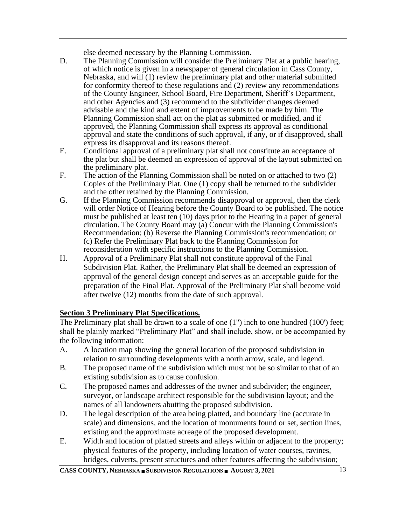else deemed necessary by the Planning Commission.

- D. The Planning Commission will consider the Preliminary Plat at a public hearing, of which notice is given in a newspaper of general circulation in Cass County, Nebraska, and will (1) review the preliminary plat and other material submitted for conformity thereof to these regulations and (2) review any recommendations of the County Engineer, School Board, Fire Department, Sheriff's Department, and other Agencies and (3) recommend to the subdivider changes deemed advisable and the kind and extent of improvements to be made by him. The Planning Commission shall act on the plat as submitted or modified, and if approved, the Planning Commission shall express its approval as conditional approval and state the conditions of such approval, if any, or if disapproved, shall express its disapproval and its reasons thereof.
- E. Conditional approval of a preliminary plat shall not constitute an acceptance of the plat but shall be deemed an expression of approval of the layout submitted on the preliminary plat.
- F. The action of the Planning Commission shall be noted on or attached to two (2) Copies of the Preliminary Plat. One (1) copy shall be returned to the subdivider and the other retained by the Planning Commission.
- G. If the Planning Commission recommends disapproval or approval, then the clerk will order Notice of Hearing before the County Board to be published. The notice must be published at least ten (10) days prior to the Hearing in a paper of general circulation. The County Board may (a) Concur with the Planning Commission's Recommendation; (b) Reverse the Planning Commission's recommendation; or (c) Refer the Preliminary Plat back to the Planning Commission for reconsideration with specific instructions to the Planning Commission.
- H. Approval of a Preliminary Plat shall not constitute approval of the Final Subdivision Plat. Rather, the Preliminary Plat shall be deemed an expression of approval of the general design concept and serves as an acceptable guide for the preparation of the Final Plat. Approval of the Preliminary Plat shall become void after twelve (12) months from the date of such approval.

## <span id="page-13-0"></span>**Section 3 Preliminary Plat Specifications.**

The Preliminary plat shall be drawn to a scale of one (1") inch to one hundred (100') feet; shall be plainly marked "Preliminary Plat" and shall include, show, or be accompanied by the following information:

- A. A location map showing the general location of the proposed subdivision in relation to surrounding developments with a north arrow, scale, and legend.
- B. The proposed name of the subdivision which must not be so similar to that of an existing subdivision as to cause confusion.
- C. The proposed names and addresses of the owner and subdivider; the engineer, surveyor, or landscape architect responsible for the subdivision layout; and the names of all landowners abutting the proposed subdivision.
- D. The legal description of the area being platted, and boundary line (accurate in scale) and dimensions, and the location of monuments found or set, section lines, existing and the approximate acreage of the proposed development.
- E. Width and location of platted streets and alleys within or adjacent to the property; physical features of the property, including location of water courses, ravines, bridges, culverts, present structures and other features affecting the subdivision;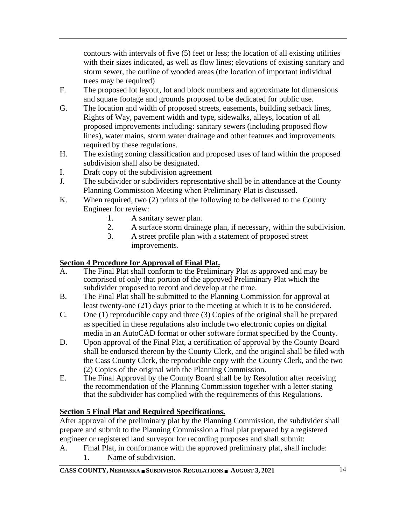contours with intervals of five (5) feet or less; the location of all existing utilities with their sizes indicated, as well as flow lines; elevations of existing sanitary and storm sewer, the outline of wooded areas (the location of important individual trees may be required)

- F. The proposed lot layout, lot and block numbers and approximate lot dimensions and square footage and grounds proposed to be dedicated for public use.
- G. The location and width of proposed streets, easements, building setback lines, Rights of Way, pavement width and type, sidewalks, alleys, location of all proposed improvements including: sanitary sewers (including proposed flow lines), water mains, storm water drainage and other features and improvements required by these regulations.
- H. The existing zoning classification and proposed uses of land within the proposed subdivision shall also be designated.
- I. Draft copy of the subdivision agreement
- J. The subdivider or subdividers representative shall be in attendance at the County Planning Commission Meeting when Preliminary Plat is discussed.
- K. When required, two (2) prints of the following to be delivered to the County Engineer for review:
	- 1. A sanitary sewer plan.
	- 2. A surface storm drainage plan, if necessary, within the subdivision.
	- 3. A street profile plan with a statement of proposed street improvements.

## <span id="page-14-0"></span>**Section 4 Procedure for Approval of Final Plat.**

- A. The Final Plat shall conform to the Preliminary Plat as approved and may be comprised of only that portion of the approved Preliminary Plat which the subdivider proposed to record and develop at the time.
- B. The Final Plat shall be submitted to the Planning Commission for approval at least twenty-one (21) days prior to the meeting at which it is to be considered.
- C. One (1) reproducible copy and three (3) Copies of the original shall be prepared as specified in these regulations also include two electronic copies on digital media in an AutoCAD format or other software format specified by the County.
- D. Upon approval of the Final Plat, a certification of approval by the County Board shall be endorsed thereon by the County Clerk, and the original shall be filed with the Cass County Clerk, the reproducible copy with the County Clerk, and the two (2) Copies of the original with the Planning Commission.
- E. The Final Approval by the County Board shall be by Resolution after receiving the recommendation of the Planning Commission together with a letter stating that the subdivider has complied with the requirements of this Regulations.

## <span id="page-14-1"></span>**Section 5 Final Plat and Required Specifications.**

After approval of the preliminary plat by the Planning Commission, the subdivider shall prepare and submit to the Planning Commission a final plat prepared by a registered engineer or registered land surveyor for recording purposes and shall submit:

A. Final Plat, in conformance with the approved preliminary plat, shall include: 1. Name of subdivision.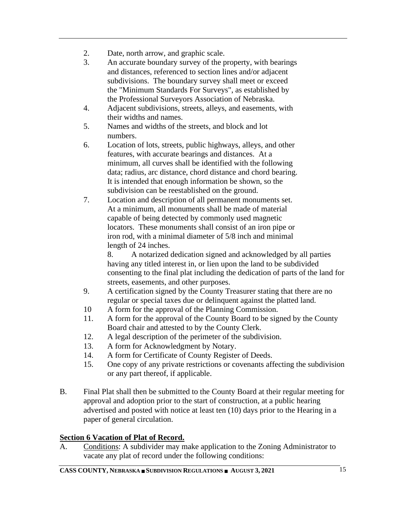- 2. Date, north arrow, and graphic scale.
- 3. An accurate boundary survey of the property, with bearings and distances, referenced to section lines and/or adjacent subdivisions. The boundary survey shall meet or exceed the "Minimum Standards For Surveys", as established by the Professional Surveyors Association of Nebraska.
- 4. Adjacent subdivisions, streets, alleys, and easements, with their widths and names.
- 5. Names and widths of the streets, and block and lot numbers.
- 6. Location of lots, streets, public highways, alleys, and other features, with accurate bearings and distances. At a minimum, all curves shall be identified with the following data; radius, arc distance, chord distance and chord bearing. It is intended that enough information be shown, so the subdivision can be reestablished on the ground.
- 7. Location and description of all permanent monuments set. At a minimum, all monuments shall be made of material capable of being detected by commonly used magnetic locators. These monuments shall consist of an iron pipe or iron rod, with a minimal diameter of 5/8 inch and minimal length of 24 inches.

8. A notarized dedication signed and acknowledged by all parties having any titled interest in, or lien upon the land to be subdivided consenting to the final plat including the dedication of parts of the land for streets, easements, and other purposes.

- 9. A certification signed by the County Treasurer stating that there are no regular or special taxes due or delinquent against the platted land.
- 10 A form for the approval of the Planning Commission.
- 11. A form for the approval of the County Board to be signed by the County Board chair and attested to by the County Clerk.
- 12. A legal description of the perimeter of the subdivision.
- 13. A form for Acknowledgment by Notary.
- 14. A form for Certificate of County Register of Deeds.
- 15. One copy of any private restrictions or covenants affecting the subdivision or any part thereof, if applicable.
- B. Final Plat shall then be submitted to the County Board at their regular meeting for approval and adoption prior to the start of construction, at a public hearing advertised and posted with notice at least ten (10) days prior to the Hearing in a paper of general circulation.

## <span id="page-15-0"></span>**Section 6 Vacation of Plat of Record.**

A. Conditions: A subdivider may make application to the Zoning Administrator to vacate any plat of record under the following conditions: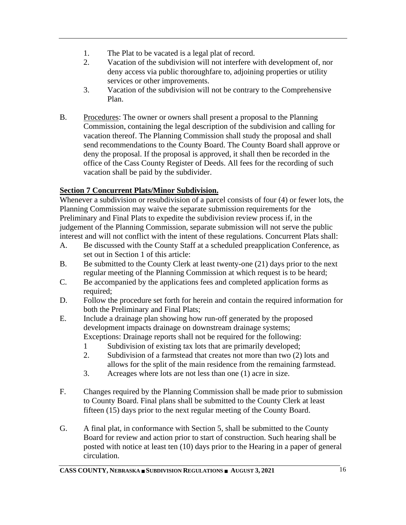- 1. The Plat to be vacated is a legal plat of record.
- 2. Vacation of the subdivision will not interfere with development of, nor deny access via public thoroughfare to, adjoining properties or utility services or other improvements.
- 3. Vacation of the subdivision will not be contrary to the Comprehensive Plan.
- B. Procedures: The owner or owners shall present a proposal to the Planning Commission, containing the legal description of the subdivision and calling for vacation thereof. The Planning Commission shall study the proposal and shall send recommendations to the County Board. The County Board shall approve or deny the proposal. If the proposal is approved, it shall then be recorded in the office of the Cass County Register of Deeds. All fees for the recording of such vacation shall be paid by the subdivider.

## <span id="page-16-0"></span>**Section 7 Concurrent Plats/Minor Subdivision.**

Whenever a subdivision or resubdivision of a parcel consists of four (4) or fewer lots, the Planning Commission may waive the separate submission requirements for the Preliminary and Final Plats to expedite the subdivision review process if, in the judgement of the Planning Commission, separate submission will not serve the public interest and will not conflict with the intent of these regulations. Concurrent Plats shall:

- A. Be discussed with the County Staff at a scheduled preapplication Conference, as set out in Section 1 of this article:
- B. Be submitted to the County Clerk at least twenty-one (21) days prior to the next regular meeting of the Planning Commission at which request is to be heard;
- C. Be accompanied by the applications fees and completed application forms as required;
- D. Follow the procedure set forth for herein and contain the required information for both the Preliminary and Final Plats;
- E. Include a drainage plan showing how run-off generated by the proposed development impacts drainage on downstream drainage systems; Exceptions: Drainage reports shall not be required for the following:
	- 1 Subdivision of existing tax lots that are primarily developed;
	- 2. Subdivision of a farmstead that creates not more than two (2) lots and allows for the split of the main residence from the remaining farmstead.
	- 3. Acreages where lots are not less than one (1) acre in size.
- F. Changes required by the Planning Commission shall be made prior to submission to County Board. Final plans shall be submitted to the County Clerk at least fifteen (15) days prior to the next regular meeting of the County Board.
- G. A final plat, in conformance with Section 5, shall be submitted to the County Board for review and action prior to start of construction. Such hearing shall be posted with notice at least ten (10) days prior to the Hearing in a paper of general circulation.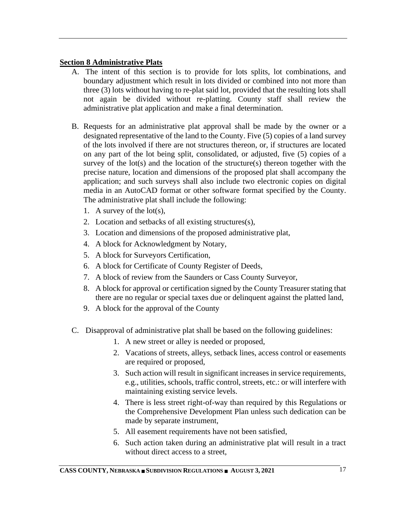#### <span id="page-17-0"></span>**Section 8 Administrative Plats**

- A. The intent of this section is to provide for lots splits, lot combinations, and boundary adjustment which result in lots divided or combined into not more than three (3) lots without having to re-plat said lot, provided that the resulting lots shall not again be divided without re-platting. County staff shall review the administrative plat application and make a final determination.
- B. Requests for an administrative plat approval shall be made by the owner or a designated representative of the land to the County. Five (5) copies of a land survey of the lots involved if there are not structures thereon, or, if structures are located on any part of the lot being split, consolidated, or adjusted, five (5) copies of a survey of the  $lot(s)$  and the location of the structure $(s)$  thereon together with the precise nature, location and dimensions of the proposed plat shall accompany the application; and such surveys shall also include two electronic copies on digital media in an AutoCAD format or other software format specified by the County. The administrative plat shall include the following:
	- 1. A survey of the lot(s),
	- 2. Location and setbacks of all existing structures(s),
	- 3. Location and dimensions of the proposed administrative plat,
	- 4. A block for Acknowledgment by Notary,
	- 5. A block for Surveyors Certification,
	- 6. A block for Certificate of County Register of Deeds,
	- 7. A block of review from the Saunders or Cass County Surveyor,
	- 8. A block for approval or certification signed by the County Treasurer stating that there are no regular or special taxes due or delinquent against the platted land,
	- 9. A block for the approval of the County
- C. Disapproval of administrative plat shall be based on the following guidelines:
	- 1. A new street or alley is needed or proposed,
	- 2. Vacations of streets, alleys, setback lines, access control or easements are required or proposed,
	- 3. Such action will result in significant increases in service requirements, e.g., utilities, schools, traffic control, streets, etc.: or will interfere with maintaining existing service levels.
	- 4. There is less street right-of-way than required by this Regulations or the Comprehensive Development Plan unless such dedication can be made by separate instrument,
	- 5. All easement requirements have not been satisfied,
	- 6. Such action taken during an administrative plat will result in a tract without direct access to a street,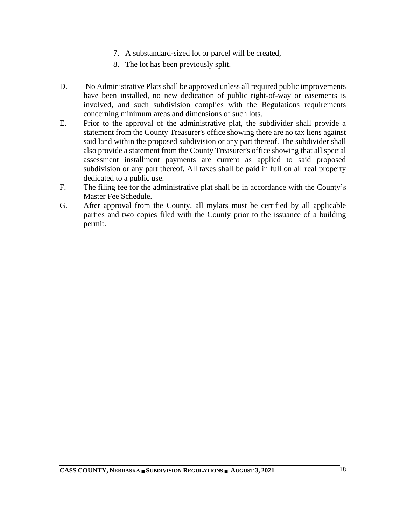- 7. A substandard-sized lot or parcel will be created,
- 8. The lot has been previously split.
- D. No Administrative Plats shall be approved unless all required public improvements have been installed, no new dedication of public right-of-way or easements is involved, and such subdivision complies with the Regulations requirements concerning minimum areas and dimensions of such lots.
- E. Prior to the approval of the administrative plat, the subdivider shall provide a statement from the County Treasurer's office showing there are no tax liens against said land within the proposed subdivision or any part thereof. The subdivider shall also provide a statement from the County Treasurer's office showing that all special assessment installment payments are current as applied to said proposed subdivision or any part thereof. All taxes shall be paid in full on all real property dedicated to a public use.
- F. The filing fee for the administrative plat shall be in accordance with the County's Master Fee Schedule.
- G. After approval from the County, all mylars must be certified by all applicable parties and two copies filed with the County prior to the issuance of a building permit.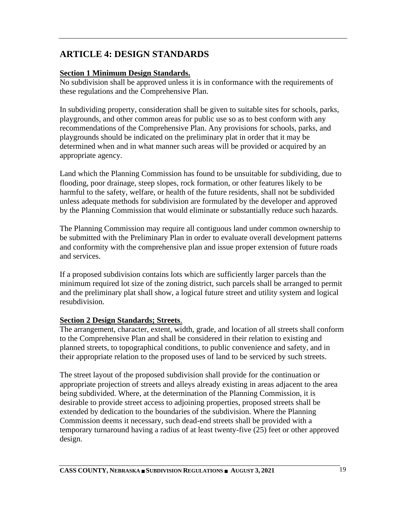# <span id="page-19-0"></span>**ARTICLE 4: DESIGN STANDARDS**

## <span id="page-19-1"></span>**Section 1 Minimum Design Standards.**

No subdivision shall be approved unless it is in conformance with the requirements of these regulations and the Comprehensive Plan.

In subdividing property, consideration shall be given to suitable sites for schools, parks, playgrounds, and other common areas for public use so as to best conform with any recommendations of the Comprehensive Plan. Any provisions for schools, parks, and playgrounds should be indicated on the preliminary plat in order that it may be determined when and in what manner such areas will be provided or acquired by an appropriate agency.

Land which the Planning Commission has found to be unsuitable for subdividing, due to flooding, poor drainage, steep slopes, rock formation, or other features likely to be harmful to the safety, welfare, or health of the future residents, shall not be subdivided unless adequate methods for subdivision are formulated by the developer and approved by the Planning Commission that would eliminate or substantially reduce such hazards.

The Planning Commission may require all contiguous land under common ownership to be submitted with the Preliminary Plan in order to evaluate overall development patterns and conformity with the comprehensive plan and issue proper extension of future roads and services.

If a proposed subdivision contains lots which are sufficiently larger parcels than the minimum required lot size of the zoning district, such parcels shall be arranged to permit and the preliminary plat shall show, a logical future street and utility system and logical resubdivision.

#### <span id="page-19-2"></span>**Section 2 Design Standards; Streets**.

The arrangement, character, extent, width, grade, and location of all streets shall conform to the Comprehensive Plan and shall be considered in their relation to existing and planned streets, to topographical conditions, to public convenience and safety, and in their appropriate relation to the proposed uses of land to be serviced by such streets.

The street layout of the proposed subdivision shall provide for the continuation or appropriate projection of streets and alleys already existing in areas adjacent to the area being subdivided. Where, at the determination of the Planning Commission, it is desirable to provide street access to adjoining properties, proposed streets shall be extended by dedication to the boundaries of the subdivision. Where the Planning Commission deems it necessary, such dead-end streets shall be provided with a temporary turnaround having a radius of at least twenty-five (25) feet or other approved design.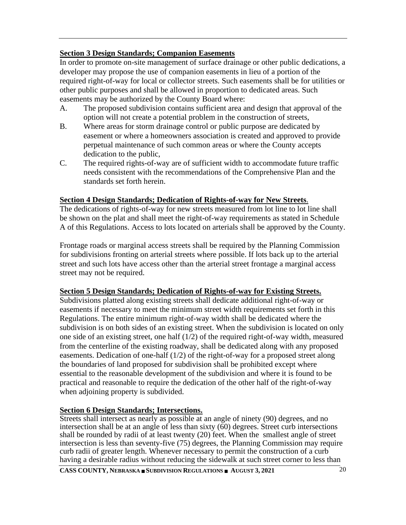#### <span id="page-20-0"></span>**Section 3 Design Standards; Companion Easements**

In order to promote on-site management of surface drainage or other public dedications, a developer may propose the use of companion easements in lieu of a portion of the required right-of-way for local or collector streets. Such easements shall be for utilities or other public purposes and shall be allowed in proportion to dedicated areas. Such easements may be authorized by the County Board where:

- A. The proposed subdivision contains sufficient area and design that approval of the option will not create a potential problem in the construction of streets,
- B. Where areas for storm drainage control or public purpose are dedicated by easement or where a homeowners association is created and approved to provide perpetual maintenance of such common areas or where the County accepts dedication to the public,
- C. The required rights-of-way are of sufficient width to accommodate future traffic needs consistent with the recommendations of the Comprehensive Plan and the standards set forth herein.

#### <span id="page-20-1"></span>**Section 4 Design Standards; Dedication of Rights-of-way for New Streets**.

The dedications of rights-of-way for new streets measured from lot line to lot line shall be shown on the plat and shall meet the right-of-way requirements as stated in Schedule A of this Regulations. Access to lots located on arterials shall be approved by the County.

Frontage roads or marginal access streets shall be required by the Planning Commission for subdivisions fronting on arterial streets where possible. If lots back up to the arterial street and such lots have access other than the arterial street frontage a marginal access street may not be required.

#### <span id="page-20-2"></span>**Section 5 Design Standards; Dedication of Rights-of-way for Existing Streets.**

Subdivisions platted along existing streets shall dedicate additional right-of-way or easements if necessary to meet the minimum street width requirements set forth in this Regulations. The entire minimum right-of-way width shall be dedicated where the subdivision is on both sides of an existing street. When the subdivision is located on only one side of an existing street, one half (1/2) of the required right-of-way width, measured from the centerline of the existing roadway, shall be dedicated along with any proposed easements. Dedication of one-half (1/2) of the right-of-way for a proposed street along the boundaries of land proposed for subdivision shall be prohibited except where essential to the reasonable development of the subdivision and where it is found to be practical and reasonable to require the dedication of the other half of the right-of-way when adjoining property is subdivided.

#### <span id="page-20-3"></span>**Section 6 Design Standards; Intersections.**

Streets shall intersect as nearly as possible at an angle of ninety (90) degrees, and no intersection shall be at an angle of less than sixty  $(60)$  degrees. Street curb intersections shall be rounded by radii of at least twenty (20) feet. When the smallest angle of street intersection is less than seventy-five (75) degrees, the Planning Commission may require curb radii of greater length. Whenever necessary to permit the construction of a curb having a desirable radius without reducing the sidewalk at such street corner to less than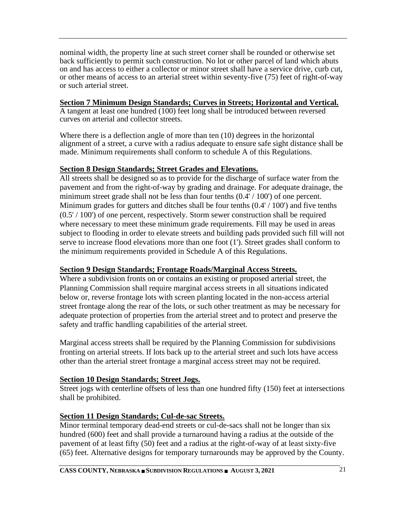nominal width, the property line at such street corner shall be rounded or otherwise set back sufficiently to permit such construction. No lot or other parcel of land which abuts on and has access to either a collector or minor street shall have a service drive, curb cut, or other means of access to an arterial street within seventy-five (75) feet of right-of-way or such arterial street.

#### <span id="page-21-0"></span>**Section 7 Minimum Design Standards; Curves in Streets; Horizontal and Vertical.**

A tangent at least one hundred (100) feet long shall be introduced between reversed curves on arterial and collector streets.

Where there is a deflection angle of more than ten (10) degrees in the horizontal alignment of a street, a curve with a radius adequate to ensure safe sight distance shall be made. Minimum requirements shall conform to schedule A of this Regulations.

## <span id="page-21-1"></span>**Section 8 Design Standards; Street Grades and Elevations.**

All streets shall be designed so as to provide for the discharge of surface water from the pavement and from the right-of-way by grading and drainage. For adequate drainage, the minimum street grade shall not be less than four tenths  $(0.4'/100')$  of one percent. Minimum grades for gutters and ditches shall be four tenths  $(0.4'/100')$  and five tenths (0.5' / 100') of one percent, respectively. Storm sewer construction shall be required where necessary to meet these minimum grade requirements. Fill may be used in areas subject to flooding in order to elevate streets and building pads provided such fill will not serve to increase flood elevations more than one foot (1'). Street grades shall conform to the minimum requirements provided in Schedule A of this Regulations.

## <span id="page-21-2"></span>**Section 9 Design Standards; Frontage Roads/Marginal Access Streets.**

Where a subdivision fronts on or contains an existing or proposed arterial street, the Planning Commission shall require marginal access streets in all situations indicated below or, reverse frontage lots with screen planting located in the non-access arterial street frontage along the rear of the lots, or such other treatment as may be necessary for adequate protection of properties from the arterial street and to protect and preserve the safety and traffic handling capabilities of the arterial street.

Marginal access streets shall be required by the Planning Commission for subdivisions fronting on arterial streets. If lots back up to the arterial street and such lots have access other than the arterial street frontage a marginal access street may not be required.

## <span id="page-21-3"></span>**Section 10 Design Standards; Street Jogs.**

Street jogs with centerline offsets of less than one hundred fifty (150) feet at intersections shall be prohibited.

## <span id="page-21-4"></span>**Section 11 Design Standards; Cul-de-sac Streets.**

Minor terminal temporary dead-end streets or cul-de-sacs shall not be longer than six hundred (600) feet and shall provide a turnaround having a radius at the outside of the pavement of at least fifty (50) feet and a radius at the right-of-way of at least sixty-five (65) feet. Alternative designs for temporary turnarounds may be approved by the County.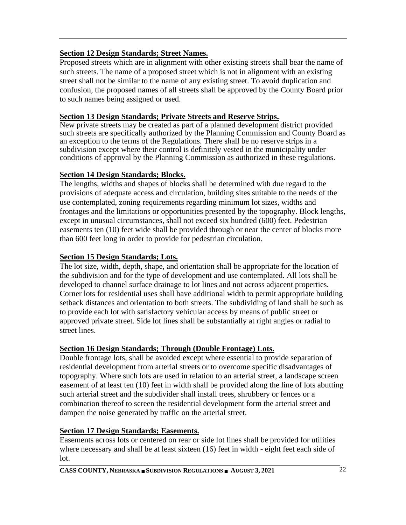## <span id="page-22-0"></span>**Section 12 Design Standards; Street Names.**

Proposed streets which are in alignment with other existing streets shall bear the name of such streets. The name of a proposed street which is not in alignment with an existing street shall not be similar to the name of any existing street. To avoid duplication and confusion, the proposed names of all streets shall be approved by the County Board prior to such names being assigned or used.

## <span id="page-22-1"></span>**Section 13 Design Standards; Private Streets and Reserve Strips.**

New private streets may be created as part of a planned development district provided such streets are specifically authorized by the Planning Commission and County Board as an exception to the terms of the Regulations. There shall be no reserve strips in a subdivision except where their control is definitely vested in the municipality under conditions of approval by the Planning Commission as authorized in these regulations.

## <span id="page-22-2"></span>**Section 14 Design Standards; Blocks.**

The lengths, widths and shapes of blocks shall be determined with due regard to the provisions of adequate access and circulation, building sites suitable to the needs of the use contemplated, zoning requirements regarding minimum lot sizes, widths and frontages and the limitations or opportunities presented by the topography. Block lengths, except in unusual circumstances, shall not exceed six hundred (600) feet. Pedestrian easements ten (10) feet wide shall be provided through or near the center of blocks more than 600 feet long in order to provide for pedestrian circulation.

## <span id="page-22-3"></span>**Section 15 Design Standards; Lots.**

The lot size, width, depth, shape, and orientation shall be appropriate for the location of the subdivision and for the type of development and use contemplated. All lots shall be developed to channel surface drainage to lot lines and not across adjacent properties. Corner lots for residential uses shall have additional width to permit appropriate building setback distances and orientation to both streets. The subdividing of land shall be such as to provide each lot with satisfactory vehicular access by means of public street or approved private street. Side lot lines shall be substantially at right angles or radial to street lines.

## <span id="page-22-4"></span>**Section 16 Design Standards; Through (Double Frontage) Lots.**

Double frontage lots, shall be avoided except where essential to provide separation of residential development from arterial streets or to overcome specific disadvantages of topography. Where such lots are used in relation to an arterial street, a landscape screen easement of at least ten (10) feet in width shall be provided along the line of lots abutting such arterial street and the subdivider shall install trees, shrubbery or fences or a combination thereof to screen the residential development form the arterial street and dampen the noise generated by traffic on the arterial street.

## <span id="page-22-5"></span>**Section 17 Design Standards; Easements.**

Easements across lots or centered on rear or side lot lines shall be provided for utilities where necessary and shall be at least sixteen (16) feet in width - eight feet each side of lot.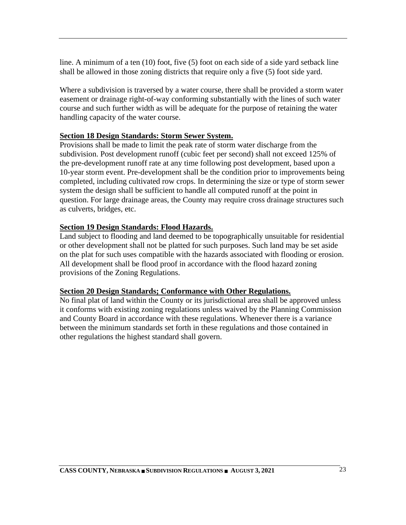line. A minimum of a ten (10) foot, five (5) foot on each side of a side yard setback line shall be allowed in those zoning districts that require only a five (5) foot side yard.

Where a subdivision is traversed by a water course, there shall be provided a storm water easement or drainage right-of-way conforming substantially with the lines of such water course and such further width as will be adequate for the purpose of retaining the water handling capacity of the water course.

#### <span id="page-23-0"></span>**Section 18 Design Standards: Storm Sewer System.**

Provisions shall be made to limit the peak rate of storm water discharge from the subdivision. Post development runoff (cubic feet per second) shall not exceed 125% of the pre-development runoff rate at any time following post development, based upon a 10-year storm event. Pre-development shall be the condition prior to improvements being completed, including cultivated row crops. In determining the size or type of storm sewer system the design shall be sufficient to handle all computed runoff at the point in question. For large drainage areas, the County may require cross drainage structures such as culverts, bridges, etc.

#### <span id="page-23-1"></span>**Section 19 Design Standards: Flood Hazards.**

Land subject to flooding and land deemed to be topographically unsuitable for residential or other development shall not be platted for such purposes. Such land may be set aside on the plat for such uses compatible with the hazards associated with flooding or erosion. All development shall be flood proof in accordance with the flood hazard zoning provisions of the Zoning Regulations.

#### <span id="page-23-2"></span>**Section 20 Design Standards; Conformance with Other Regulations.**

No final plat of land within the County or its jurisdictional area shall be approved unless it conforms with existing zoning regulations unless waived by the Planning Commission and County Board in accordance with these regulations. Whenever there is a variance between the minimum standards set forth in these regulations and those contained in other regulations the highest standard shall govern.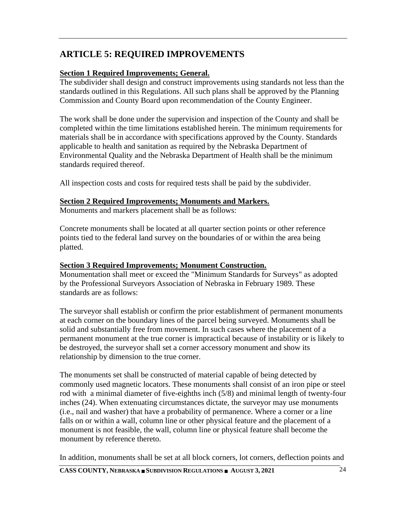# <span id="page-24-0"></span>**ARTICLE 5: REQUIRED IMPROVEMENTS**

## <span id="page-24-1"></span>**Section 1 Required Improvements; General.**

The subdivider shall design and construct improvements using standards not less than the standards outlined in this Regulations. All such plans shall be approved by the Planning Commission and County Board upon recommendation of the County Engineer.

The work shall be done under the supervision and inspection of the County and shall be completed within the time limitations established herein. The minimum requirements for materials shall be in accordance with specifications approved by the County. Standards applicable to health and sanitation as required by the Nebraska Department of Environmental Quality and the Nebraska Department of Health shall be the minimum standards required thereof.

All inspection costs and costs for required tests shall be paid by the subdivider.

#### <span id="page-24-2"></span>**Section 2 Required Improvements; Monuments and Markers.**

Monuments and markers placement shall be as follows:

Concrete monuments shall be located at all quarter section points or other reference points tied to the federal land survey on the boundaries of or within the area being platted.

#### <span id="page-24-3"></span>**Section 3 Required Improvements; Monument Construction.**

Monumentation shall meet or exceed the "Minimum Standards for Surveys" as adopted by the Professional Surveyors Association of Nebraska in February 1989. These standards are as follows:

The surveyor shall establish or confirm the prior establishment of permanent monuments at each corner on the boundary lines of the parcel being surveyed. Monuments shall be solid and substantially free from movement. In such cases where the placement of a permanent monument at the true corner is impractical because of instability or is likely to be destroyed, the surveyor shall set a corner accessory monument and show its relationship by dimension to the true corner.

The monuments set shall be constructed of material capable of being detected by commonly used magnetic locators. These monuments shall consist of an iron pipe or steel rod with a minimal diameter of five-eighths inch (5/8) and minimal length of twenty-four inches (24). When extenuating circumstances dictate, the surveyor may use monuments (i.e., nail and washer) that have a probability of permanence. Where a corner or a line falls on or within a wall, column line or other physical feature and the placement of a monument is not feasible, the wall, column line or physical feature shall become the monument by reference thereto.

In addition, monuments shall be set at all block corners, lot corners, deflection points and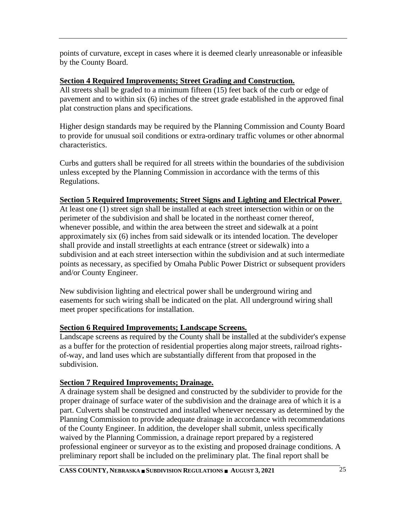points of curvature, except in cases where it is deemed clearly unreasonable or infeasible by the County Board.

#### <span id="page-25-0"></span>**Section 4 Required Improvements; Street Grading and Construction.**

All streets shall be graded to a minimum fifteen (15) feet back of the curb or edge of pavement and to within six (6) inches of the street grade established in the approved final plat construction plans and specifications.

Higher design standards may be required by the Planning Commission and County Board to provide for unusual soil conditions or extra-ordinary traffic volumes or other abnormal characteristics.

Curbs and gutters shall be required for all streets within the boundaries of the subdivision unless excepted by the Planning Commission in accordance with the terms of this Regulations.

## <span id="page-25-1"></span>**Section 5 Required Improvements; Street Signs and Lighting and Electrical Power**.

At least one (1) street sign shall be installed at each street intersection within or on the perimeter of the subdivision and shall be located in the northeast corner thereof, whenever possible, and within the area between the street and sidewalk at a point approximately six (6) inches from said sidewalk or its intended location. The developer shall provide and install streetlights at each entrance (street or sidewalk) into a subdivision and at each street intersection within the subdivision and at such intermediate points as necessary, as specified by Omaha Public Power District or subsequent providers and/or County Engineer.

New subdivision lighting and electrical power shall be underground wiring and easements for such wiring shall be indicated on the plat. All underground wiring shall meet proper specifications for installation.

## <span id="page-25-2"></span>**Section 6 Required Improvements; Landscape Screens.**

Landscape screens as required by the County shall be installed at the subdivider's expense as a buffer for the protection of residential properties along major streets, railroad rightsof-way, and land uses which are substantially different from that proposed in the subdivision.

## <span id="page-25-3"></span>**Section 7 Required Improvements; Drainage.**

A drainage system shall be designed and constructed by the subdivider to provide for the proper drainage of surface water of the subdivision and the drainage area of which it is a part. Culverts shall be constructed and installed whenever necessary as determined by the Planning Commission to provide adequate drainage in accordance with recommendations of the County Engineer. In addition, the developer shall submit, unless specifically waived by the Planning Commission, a drainage report prepared by a registered professional engineer or surveyor as to the existing and proposed drainage conditions. A preliminary report shall be included on the preliminary plat. The final report shall be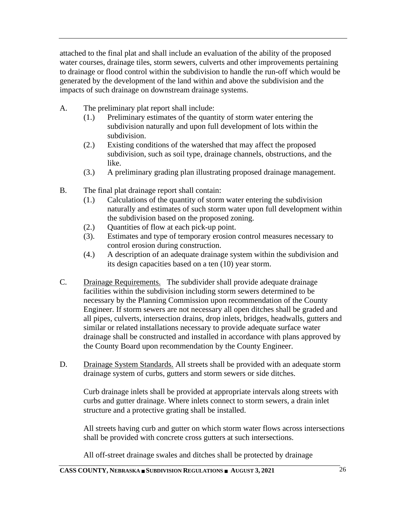attached to the final plat and shall include an evaluation of the ability of the proposed water courses, drainage tiles, storm sewers, culverts and other improvements pertaining to drainage or flood control within the subdivision to handle the run-off which would be generated by the development of the land within and above the subdivision and the impacts of such drainage on downstream drainage systems.

- A. The preliminary plat report shall include:
	- (1.) Preliminary estimates of the quantity of storm water entering the subdivision naturally and upon full development of lots within the subdivision.
	- (2.) Existing conditions of the watershed that may affect the proposed subdivision, such as soil type, drainage channels, obstructions, and the like.
	- (3.) A preliminary grading plan illustrating proposed drainage management.
- B. The final plat drainage report shall contain:
	- (1.) Calculations of the quantity of storm water entering the subdivision naturally and estimates of such storm water upon full development within the subdivision based on the proposed zoning.
	- (2.) Quantities of flow at each pick-up point.
	- (3). Estimates and type of temporary erosion control measures necessary to control erosion during construction.
	- (4.) A description of an adequate drainage system within the subdivision and its design capacities based on a ten (10) year storm.
- C. Drainage Requirements. The subdivider shall provide adequate drainage facilities within the subdivision including storm sewers determined to be necessary by the Planning Commission upon recommendation of the County Engineer. If storm sewers are not necessary all open ditches shall be graded and all pipes, culverts, intersection drains, drop inlets, bridges, headwalls, gutters and similar or related installations necessary to provide adequate surface water drainage shall be constructed and installed in accordance with plans approved by the County Board upon recommendation by the County Engineer.
- D. Drainage System Standards. All streets shall be provided with an adequate storm drainage system of curbs, gutters and storm sewers or side ditches.

Curb drainage inlets shall be provided at appropriate intervals along streets with curbs and gutter drainage. Where inlets connect to storm sewers, a drain inlet structure and a protective grating shall be installed.

All streets having curb and gutter on which storm water flows across intersections shall be provided with concrete cross gutters at such intersections.

All off-street drainage swales and ditches shall be protected by drainage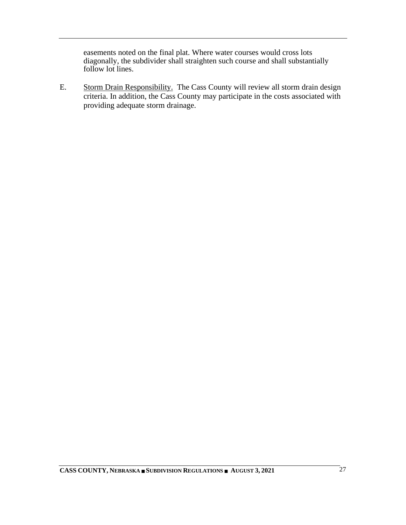easements noted on the final plat. Where water courses would cross lots diagonally, the subdivider shall straighten such course and shall substantially follow lot lines.

E. Storm Drain Responsibility. The Cass County will review all storm drain design criteria. In addition, the Cass County may participate in the costs associated with providing adequate storm drainage.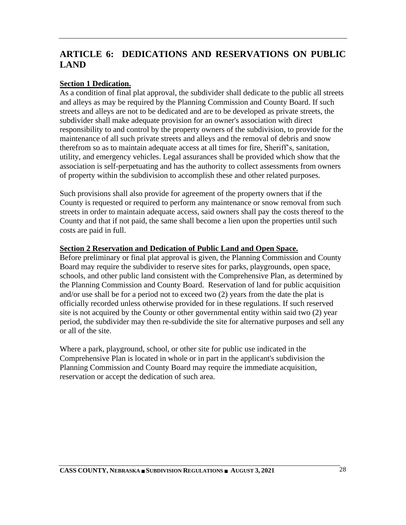# <span id="page-28-0"></span>**ARTICLE 6: DEDICATIONS AND RESERVATIONS ON PUBLIC LAND**

## <span id="page-28-1"></span>**Section 1 Dedication.**

As a condition of final plat approval, the subdivider shall dedicate to the public all streets and alleys as may be required by the Planning Commission and County Board. If such streets and alleys are not to be dedicated and are to be developed as private streets, the subdivider shall make adequate provision for an owner's association with direct responsibility to and control by the property owners of the subdivision, to provide for the maintenance of all such private streets and alleys and the removal of debris and snow therefrom so as to maintain adequate access at all times for fire, Sheriff's, sanitation, utility, and emergency vehicles. Legal assurances shall be provided which show that the association is self-perpetuating and has the authority to collect assessments from owners of property within the subdivision to accomplish these and other related purposes.

Such provisions shall also provide for agreement of the property owners that if the County is requested or required to perform any maintenance or snow removal from such streets in order to maintain adequate access, said owners shall pay the costs thereof to the County and that if not paid, the same shall become a lien upon the properties until such costs are paid in full.

#### <span id="page-28-2"></span>**Section 2 Reservation and Dedication of Public Land and Open Space.**

Before preliminary or final plat approval is given, the Planning Commission and County Board may require the subdivider to reserve sites for parks, playgrounds, open space, schools, and other public land consistent with the Comprehensive Plan, as determined by the Planning Commission and County Board. Reservation of land for public acquisition and/or use shall be for a period not to exceed two (2) years from the date the plat is officially recorded unless otherwise provided for in these regulations. If such reserved site is not acquired by the County or other governmental entity within said two (2) year period, the subdivider may then re-subdivide the site for alternative purposes and sell any or all of the site.

Where a park, playground, school, or other site for public use indicated in the Comprehensive Plan is located in whole or in part in the applicant's subdivision the Planning Commission and County Board may require the immediate acquisition, reservation or accept the dedication of such area.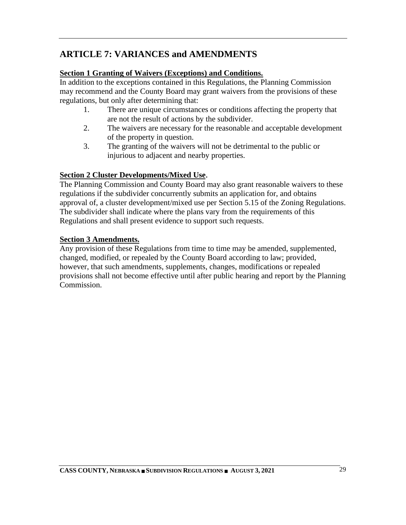# <span id="page-29-0"></span>**ARTICLE 7: VARIANCES and AMENDMENTS**

## <span id="page-29-1"></span>**Section 1 Granting of Waivers (Exceptions) and Conditions.**

In addition to the exceptions contained in this Regulations, the Planning Commission may recommend and the County Board may grant waivers from the provisions of these regulations, but only after determining that:

- 1. There are unique circumstances or conditions affecting the property that are not the result of actions by the subdivider.
- 2. The waivers are necessary for the reasonable and acceptable development of the property in question.
- 3. The granting of the waivers will not be detrimental to the public or injurious to adjacent and nearby properties.

## <span id="page-29-2"></span>**Section 2 Cluster Developments/Mixed Use**.

The Planning Commission and County Board may also grant reasonable waivers to these regulations if the subdivider concurrently submits an application for, and obtains approval of, a cluster development/mixed use per Section 5.15 of the Zoning Regulations. The subdivider shall indicate where the plans vary from the requirements of this Regulations and shall present evidence to support such requests.

## <span id="page-29-3"></span>**Section 3 Amendments.**

Any provision of these Regulations from time to time may be amended, supplemented, changed, modified, or repealed by the County Board according to law; provided, however, that such amendments, supplements, changes, modifications or repealed provisions shall not become effective until after public hearing and report by the Planning Commission.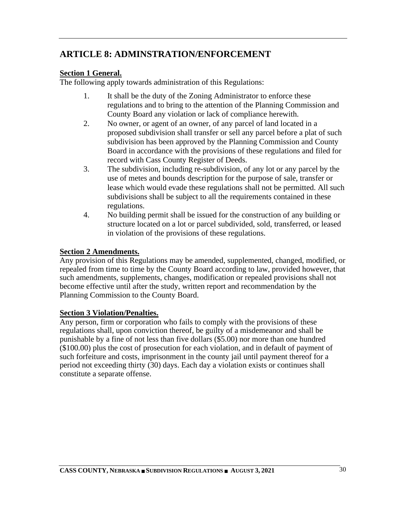# <span id="page-30-0"></span>**ARTICLE 8: ADMINSTRATION/ENFORCEMENT**

## <span id="page-30-1"></span>**Section 1 General.**

The following apply towards administration of this Regulations:

- 1. It shall be the duty of the Zoning Administrator to enforce these regulations and to bring to the attention of the Planning Commission and County Board any violation or lack of compliance herewith.
- 2. No owner, or agent of an owner, of any parcel of land located in a proposed subdivision shall transfer or sell any parcel before a plat of such subdivision has been approved by the Planning Commission and County Board in accordance with the provisions of these regulations and filed for record with Cass County Register of Deeds.
- 3. The subdivision, including re-subdivision, of any lot or any parcel by the use of metes and bounds description for the purpose of sale, transfer or lease which would evade these regulations shall not be permitted. All such subdivisions shall be subject to all the requirements contained in these regulations.
- 4. No building permit shall be issued for the construction of any building or structure located on a lot or parcel subdivided, sold, transferred, or leased in violation of the provisions of these regulations.

## <span id="page-30-2"></span>**Section 2 Amendments.**

Any provision of this Regulations may be amended, supplemented, changed, modified, or repealed from time to time by the County Board according to law, provided however, that such amendments, supplements, changes, modification or repealed provisions shall not become effective until after the study, written report and recommendation by the Planning Commission to the County Board.

## <span id="page-30-3"></span>**Section 3 Violation/Penalties.**

Any person, firm or corporation who fails to comply with the provisions of these regulations shall, upon conviction thereof, be guilty of a misdemeanor and shall be punishable by a fine of not less than five dollars (\$5.00) nor more than one hundred (\$100.00) plus the cost of prosecution for each violation, and in default of payment of such forfeiture and costs, imprisonment in the county jail until payment thereof for a period not exceeding thirty (30) days. Each day a violation exists or continues shall constitute a separate offense.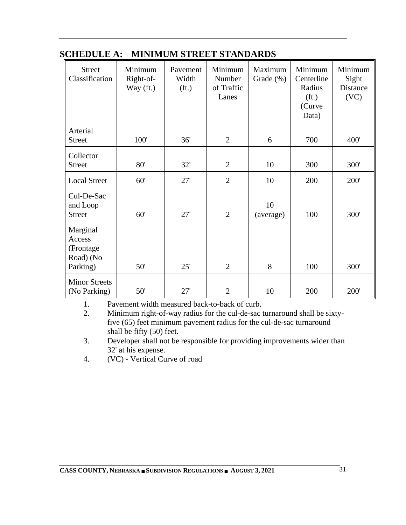| <b>Street</b><br>Classification                           | Minimum<br>Right-of-<br>Way (ft.) | Pavement<br>Width<br>(f <sub>t</sub> ) | Minimum<br>Number<br>of Traffic<br>Lanes | Maximum<br>Grade $(\%)$ | Minimum<br>Centerline<br>Radius<br>(f <sub>t</sub> )<br>(Curve<br>Data) | Minimum<br>Sight<br>Distance<br>(VC) |
|-----------------------------------------------------------|-----------------------------------|----------------------------------------|------------------------------------------|-------------------------|-------------------------------------------------------------------------|--------------------------------------|
| Arterial<br><b>Street</b>                                 | 100'                              | 36'                                    | $\overline{2}$                           | 6                       | 700                                                                     | 400'                                 |
| Collector<br><b>Street</b>                                | 80'                               | 32'                                    | $\overline{2}$                           | 10                      | 300                                                                     | 300'                                 |
| <b>Local Street</b>                                       | 60'                               | 27'                                    | $\overline{2}$                           | 10                      | 200                                                                     | 200'                                 |
| Cul-De-Sac<br>and Loop<br><b>Street</b>                   | 60'                               | 27'                                    | $\overline{2}$                           | 10<br>(average)         | 100                                                                     | 300'                                 |
| Marginal<br>Access<br>(Frontage)<br>Road) (No<br>Parking) | 50'                               | 25'                                    | $\overline{2}$                           | 8                       | 100                                                                     | 300'                                 |
| <b>Minor Streets</b><br>(No Parking)                      | 50'                               | 27'                                    | $\overline{2}$                           | 10                      | 200                                                                     | 200'                                 |

## <span id="page-31-0"></span>**SCHEDULE A: MINIMUM STREET STANDARDS**

1. Pavement width measured back-to-back of curb.

2. Minimum right-of-way radius for the cul-de-sac turnaround shall be sixtyfive (65) feet minimum pavement radius for the cul-de-sac turnaround shall be fifty (50) feet.

3. Developer shall not be responsible for providing improvements wider than 32' at his expense.

4. (VC) - Vertical Curve of road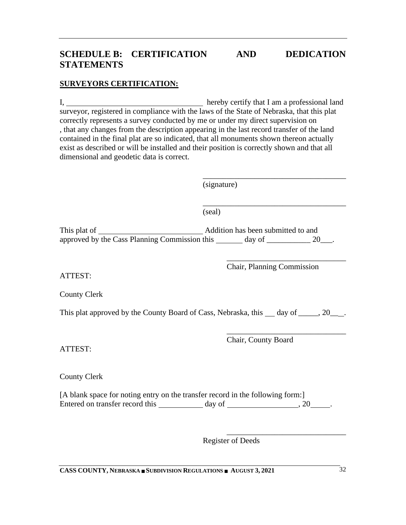## <span id="page-32-0"></span>**SCHEDULE B: CERTIFICATION AND DEDICATION STATEMENTS**

#### **SURVEYORS CERTIFICATION:**

I, hereby certify that I am a professional land surveyor, registered in compliance with the laws of the State of Nebraska, that this plat correctly represents a survey conducted by me or under my direct supervision on , that any changes from the description appearing in the last record transfer of the land contained in the final plat are so indicated, that all monuments shown thereon actually exist as described or will be installed and their position is correctly shown and that all dimensional and geodetic data is correct.

(signature)

(seal)

This plat of Addition has been submitted to and approved by the Cass Planning Commission this  $\frac{d}{dx}$  day of  $\frac{20}{x}$ .

> $\frac{1}{\sqrt{2}}$  ,  $\frac{1}{\sqrt{2}}$  ,  $\frac{1}{\sqrt{2}}$  ,  $\frac{1}{\sqrt{2}}$  ,  $\frac{1}{\sqrt{2}}$  ,  $\frac{1}{\sqrt{2}}$  ,  $\frac{1}{\sqrt{2}}$  ,  $\frac{1}{\sqrt{2}}$  ,  $\frac{1}{\sqrt{2}}$  ,  $\frac{1}{\sqrt{2}}$  ,  $\frac{1}{\sqrt{2}}$  ,  $\frac{1}{\sqrt{2}}$  ,  $\frac{1}{\sqrt{2}}$  ,  $\frac{1}{\sqrt{2}}$  ,  $\frac{1}{\sqrt{2}}$ Chair, Planning Commission

> \_\_\_\_\_\_\_\_\_\_\_\_\_\_\_\_\_\_\_\_\_\_\_\_\_\_\_\_\_\_\_\_\_\_\_\_

\_\_\_\_\_\_\_\_\_\_\_\_\_\_\_\_\_\_\_\_\_\_\_\_\_\_\_\_\_\_\_\_\_\_\_\_

ATTEST:

County Clerk

This plat approved by the County Board of Cass, Nebraska, this  $\_\_$  day of  $\_\_$ , 20 $\_\_$ .

ATTEST:

County Clerk

[A blank space for noting entry on the transfer record in the following form:] Entered on transfer record this day of , 20 .

> \_\_\_\_\_\_\_\_\_\_\_\_\_\_\_\_\_\_\_\_\_\_\_\_\_\_\_\_\_\_ Register of Deeds

**CASS COUNTY, NEBRASKA SUBDIVISION REGULATIONS AUGUST 3, 2021** 32

 $\overline{\phantom{a}}$  ,  $\overline{\phantom{a}}$  ,  $\overline{\phantom{a}}$  ,  $\overline{\phantom{a}}$  ,  $\overline{\phantom{a}}$  ,  $\overline{\phantom{a}}$  ,  $\overline{\phantom{a}}$  ,  $\overline{\phantom{a}}$  ,  $\overline{\phantom{a}}$  ,  $\overline{\phantom{a}}$  ,  $\overline{\phantom{a}}$  ,  $\overline{\phantom{a}}$  ,  $\overline{\phantom{a}}$  ,  $\overline{\phantom{a}}$  ,  $\overline{\phantom{a}}$  ,  $\overline{\phantom{a}}$ Chair, County Board